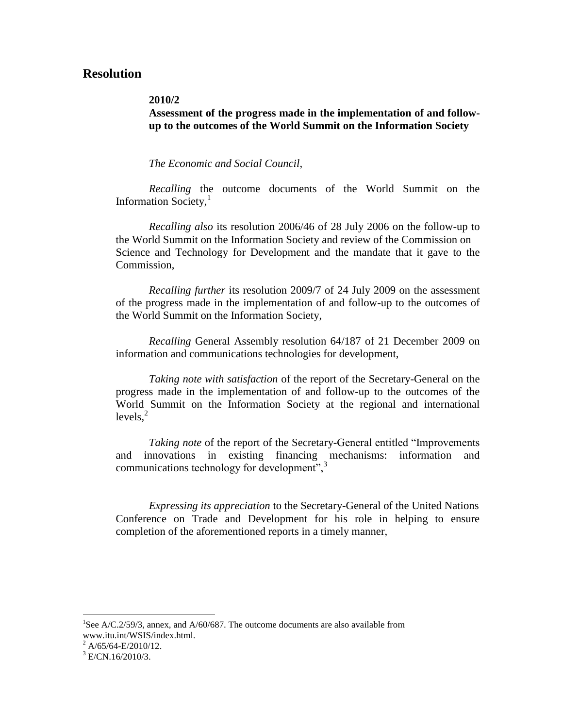# **Resolution**

### **2010/2**

## **Assessment of the progress made in the implementation of and followup to the outcomes of the World Summit on the Information Society**

### *The Economic and Social Council*,

*Recalling* the outcome documents of the World Summit on the Information Society, $\frac{1}{1}$ 

*Recalling also* its resolution 2006/46 of 28 July 2006 on the follow-up to the World Summit on the Information Society and review of the Commission on Science and Technology for Development and the mandate that it gave to the Commission,

*Recalling further* its resolution 2009/7 of 24 July 2009 on the assessment of the progress made in the implementation of and follow-up to the outcomes of the World Summit on the Information Society,

*Recalling* General Assembly resolution 64/187 of 21 December 2009 on information and communications technologies for development,

*Taking note with satisfaction* of the report of the Secretary-General on the progress made in the implementation of and follow-up to the outcomes of the World Summit on the Information Society at the regional and international  $levels.<sup>2</sup>$ 

*Taking note* of the report of the Secretary-General entitled "Improvements and innovations in existing financing mechanisms: information and communications technology for development",<sup>3</sup>

*Expressing its appreciation* to the Secretary-General of the United Nations Conference on Trade and Development for his role in helping to ensure completion of the aforementioned reports in a timely manner,

<sup>&</sup>lt;sup>1</sup>See A/C.2/59/3, annex, and A/60/687. The outcome documents are also available from www.itu.int/WSIS/index.html.

 $^{2}$  A/65/64-E/2010/12.

 $3$  E/CN.16/2010/3.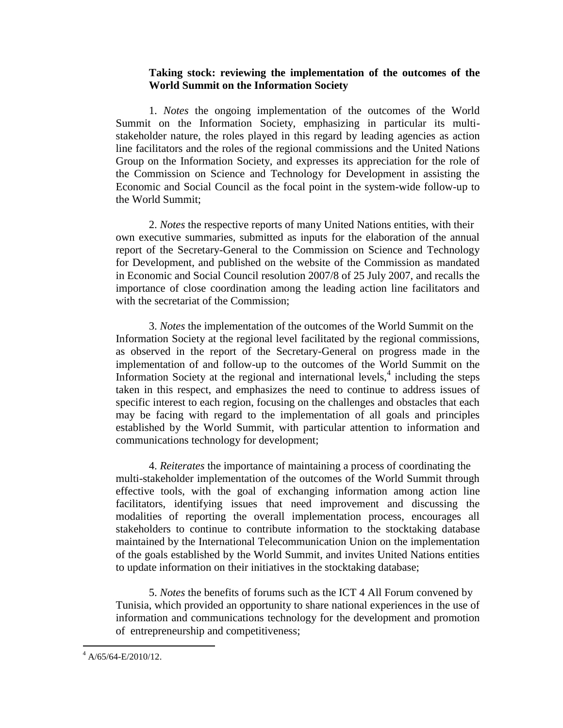## **Taking stock: reviewing the implementation of the outcomes of the World Summit on the Information Society**

1. *Notes* the ongoing implementation of the outcomes of the World Summit on the Information Society, emphasizing in particular its multistakeholder nature, the roles played in this regard by leading agencies as action line facilitators and the roles of the regional commissions and the United Nations Group on the Information Society, and expresses its appreciation for the role of the Commission on Science and Technology for Development in assisting the Economic and Social Council as the focal point in the system-wide follow-up to the World Summit;

2. *Notes* the respective reports of many United Nations entities, with their own executive summaries, submitted as inputs for the elaboration of the annual report of the Secretary-General to the Commission on Science and Technology for Development, and published on the website of the Commission as mandated in Economic and Social Council resolution 2007/8 of 25 July 2007, and recalls the importance of close coordination among the leading action line facilitators and with the secretariat of the Commission;

3. *Notes* the implementation of the outcomes of the World Summit on the Information Society at the regional level facilitated by the regional commissions, as observed in the report of the Secretary-General on progress made in the implementation of and follow-up to the outcomes of the World Summit on the Information Society at the regional and international levels, $4$  including the steps taken in this respect, and emphasizes the need to continue to address issues of specific interest to each region, focusing on the challenges and obstacles that each may be facing with regard to the implementation of all goals and principles established by the World Summit, with particular attention to information and communications technology for development;

4. *Reiterates* the importance of maintaining a process of coordinating the multi-stakeholder implementation of the outcomes of the World Summit through effective tools, with the goal of exchanging information among action line facilitators, identifying issues that need improvement and discussing the modalities of reporting the overall implementation process, encourages all stakeholders to continue to contribute information to the stocktaking database maintained by the International Telecommunication Union on the implementation of the goals established by the World Summit, and invites United Nations entities to update information on their initiatives in the stocktaking database;

5. *Notes* the benefits of forums such as the ICT 4 All Forum convened by Tunisia, which provided an opportunity to share national experiences in the use of information and communications technology for the development and promotion of entrepreneurship and competitiveness;

 $^{4}$  A/65/64-E/2010/12.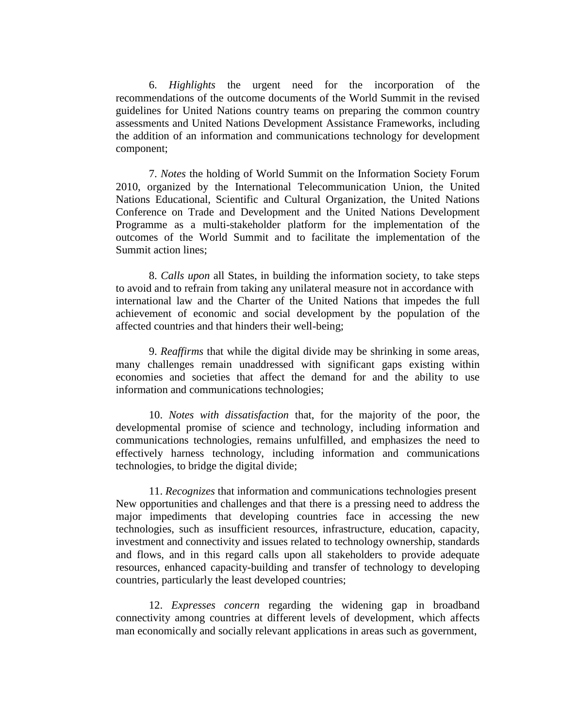6. *Highlights* the urgent need for the incorporation of the recommendations of the outcome documents of the World Summit in the revised guidelines for United Nations country teams on preparing the common country assessments and United Nations Development Assistance Frameworks, including the addition of an information and communications technology for development component;

7. *Notes* the holding of World Summit on the Information Society Forum 2010, organized by the International Telecommunication Union, the United Nations Educational, Scientific and Cultural Organization, the United Nations Conference on Trade and Development and the United Nations Development Programme as a multi-stakeholder platform for the implementation of the outcomes of the World Summit and to facilitate the implementation of the Summit action lines;

8. *Calls upon* all States, in building the information society, to take steps to avoid and to refrain from taking any unilateral measure not in accordance with international law and the Charter of the United Nations that impedes the full achievement of economic and social development by the population of the affected countries and that hinders their well-being;

9. *Reaffirms* that while the digital divide may be shrinking in some areas, many challenges remain unaddressed with significant gaps existing within economies and societies that affect the demand for and the ability to use information and communications technologies;

10. *Notes with dissatisfaction* that, for the majority of the poor, the developmental promise of science and technology, including information and communications technologies, remains unfulfilled, and emphasizes the need to effectively harness technology, including information and communications technologies, to bridge the digital divide;

11. *Recognizes* that information and communications technologies present New opportunities and challenges and that there is a pressing need to address the major impediments that developing countries face in accessing the new technologies, such as insufficient resources, infrastructure, education, capacity, investment and connectivity and issues related to technology ownership, standards and flows, and in this regard calls upon all stakeholders to provide adequate resources, enhanced capacity-building and transfer of technology to developing countries, particularly the least developed countries;

12. *Expresses concern* regarding the widening gap in broadband connectivity among countries at different levels of development, which affects man economically and socially relevant applications in areas such as government,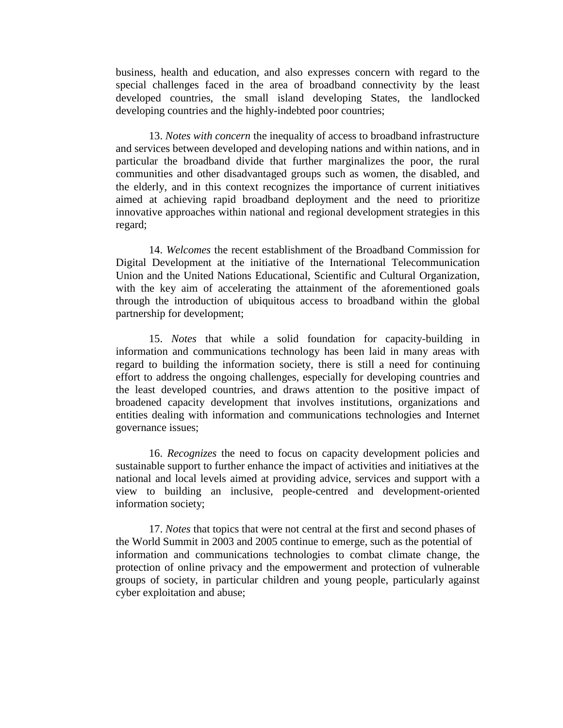business, health and education, and also expresses concern with regard to the special challenges faced in the area of broadband connectivity by the least developed countries, the small island developing States, the landlocked developing countries and the highly-indebted poor countries;

13. *Notes with concern* the inequality of access to broadband infrastructure and services between developed and developing nations and within nations, and in particular the broadband divide that further marginalizes the poor, the rural communities and other disadvantaged groups such as women, the disabled, and the elderly, and in this context recognizes the importance of current initiatives aimed at achieving rapid broadband deployment and the need to prioritize innovative approaches within national and regional development strategies in this regard;

14. *Welcomes* the recent establishment of the Broadband Commission for Digital Development at the initiative of the International Telecommunication Union and the United Nations Educational, Scientific and Cultural Organization, with the key aim of accelerating the attainment of the aforementioned goals through the introduction of ubiquitous access to broadband within the global partnership for development;

15. *Notes* that while a solid foundation for capacity-building in information and communications technology has been laid in many areas with regard to building the information society, there is still a need for continuing effort to address the ongoing challenges, especially for developing countries and the least developed countries, and draws attention to the positive impact of broadened capacity development that involves institutions, organizations and entities dealing with information and communications technologies and Internet governance issues;

16. *Recognizes* the need to focus on capacity development policies and sustainable support to further enhance the impact of activities and initiatives at the national and local levels aimed at providing advice, services and support with a view to building an inclusive, people-centred and development-oriented information society;

17. *Notes* that topics that were not central at the first and second phases of the World Summit in 2003 and 2005 continue to emerge, such as the potential of information and communications technologies to combat climate change, the protection of online privacy and the empowerment and protection of vulnerable groups of society, in particular children and young people, particularly against cyber exploitation and abuse;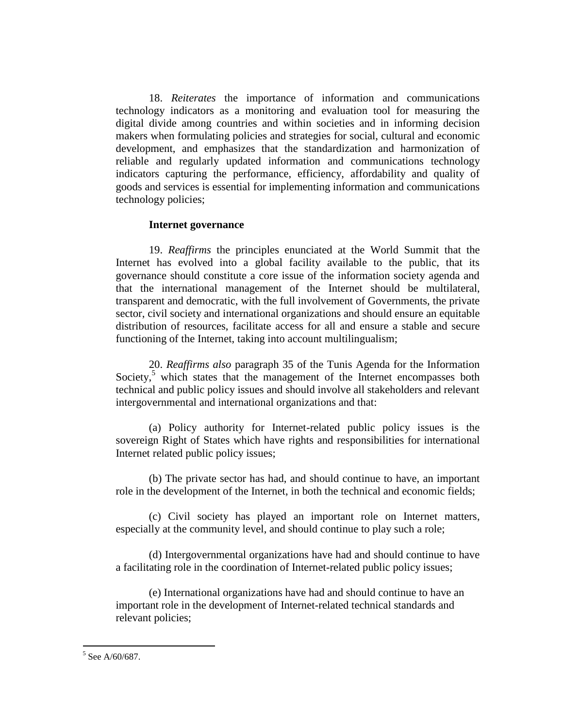18. *Reiterates* the importance of information and communications technology indicators as a monitoring and evaluation tool for measuring the digital divide among countries and within societies and in informing decision makers when formulating policies and strategies for social, cultural and economic development, and emphasizes that the standardization and harmonization of reliable and regularly updated information and communications technology indicators capturing the performance, efficiency, affordability and quality of goods and services is essential for implementing information and communications technology policies;

### **Internet governance**

19. *Reaffirms* the principles enunciated at the World Summit that the Internet has evolved into a global facility available to the public, that its governance should constitute a core issue of the information society agenda and that the international management of the Internet should be multilateral, transparent and democratic, with the full involvement of Governments, the private sector, civil society and international organizations and should ensure an equitable distribution of resources, facilitate access for all and ensure a stable and secure functioning of the Internet, taking into account multilingualism;

20. *Reaffirms also* paragraph 35 of the Tunis Agenda for the Information Society, $5$  which states that the management of the Internet encompasses both technical and public policy issues and should involve all stakeholders and relevant intergovernmental and international organizations and that:

(a) Policy authority for Internet-related public policy issues is the sovereign Right of States which have rights and responsibilities for international Internet related public policy issues;

(b) The private sector has had, and should continue to have, an important role in the development of the Internet, in both the technical and economic fields;

(c) Civil society has played an important role on Internet matters, especially at the community level, and should continue to play such a role;

(d) Intergovernmental organizations have had and should continue to have a facilitating role in the coordination of Internet-related public policy issues;

(e) International organizations have had and should continue to have an important role in the development of Internet-related technical standards and relevant policies;

<sup>&</sup>lt;sup>5</sup> See A/60/687.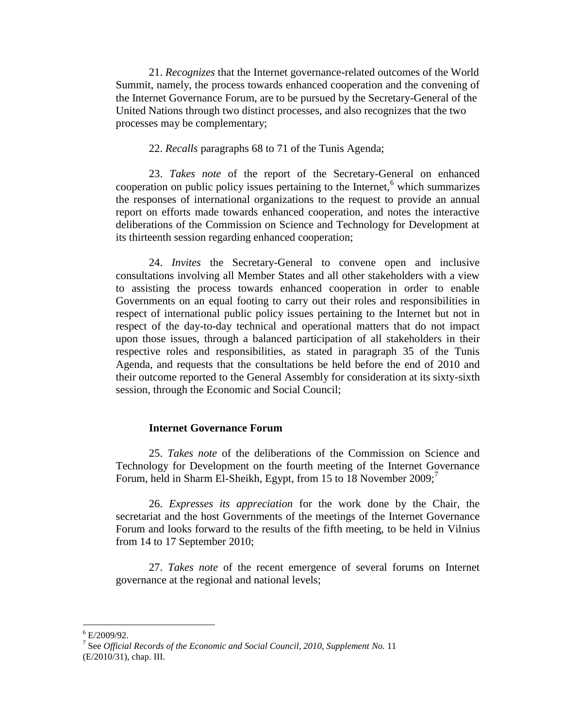21. *Recognizes* that the Internet governance-related outcomes of the World Summit, namely, the process towards enhanced cooperation and the convening of the Internet Governance Forum, are to be pursued by the Secretary-General of the United Nations through two distinct processes, and also recognizes that the two processes may be complementary;

### 22. *Recalls* paragraphs 68 to 71 of the Tunis Agenda;

23. *Takes note* of the report of the Secretary-General on enhanced cooperation on public policy issues pertaining to the Internet,<sup> $6$ </sup> which summarizes the responses of international organizations to the request to provide an annual report on efforts made towards enhanced cooperation, and notes the interactive deliberations of the Commission on Science and Technology for Development at its thirteenth session regarding enhanced cooperation;

24. *Invites* the Secretary-General to convene open and inclusive consultations involving all Member States and all other stakeholders with a view to assisting the process towards enhanced cooperation in order to enable Governments on an equal footing to carry out their roles and responsibilities in respect of international public policy issues pertaining to the Internet but not in respect of the day-to-day technical and operational matters that do not impact upon those issues, through a balanced participation of all stakeholders in their respective roles and responsibilities, as stated in paragraph 35 of the Tunis Agenda, and requests that the consultations be held before the end of 2010 and their outcome reported to the General Assembly for consideration at its sixty-sixth session, through the Economic and Social Council;

### **Internet Governance Forum**

25. *Takes note* of the deliberations of the Commission on Science and Technology for Development on the fourth meeting of the Internet Governance Forum, held in Sharm El-Sheikh, Egypt, from 15 to 18 November  $2009$ ;

26. *Expresses its appreciation* for the work done by the Chair, the secretariat and the host Governments of the meetings of the Internet Governance Forum and looks forward to the results of the fifth meeting, to be held in Vilnius from 14 to 17 September 2010;

27. *Takes note* of the recent emergence of several forums on Internet governance at the regional and national levels;

 $6$  E/2009/92.

<sup>7</sup> See *Official Records of the Economic and Social Council, 2010, Supplement No.* 11 (E/2010/31), chap. III.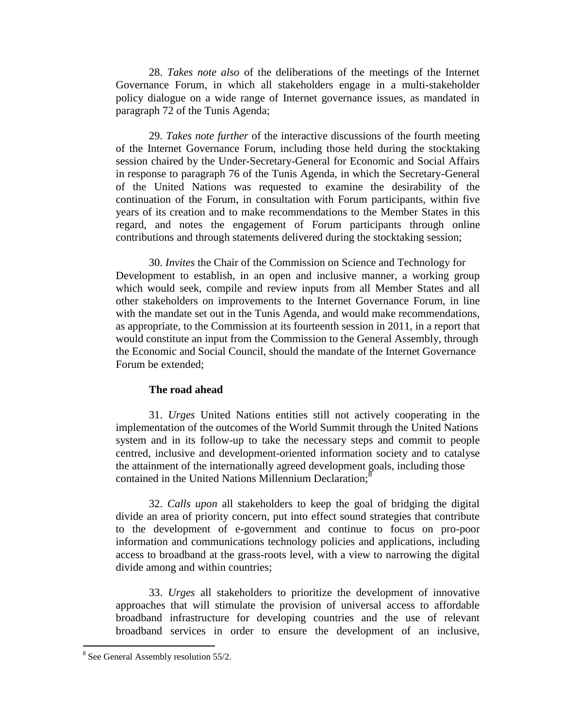28. *Takes note also* of the deliberations of the meetings of the Internet Governance Forum, in which all stakeholders engage in a multi-stakeholder policy dialogue on a wide range of Internet governance issues, as mandated in paragraph 72 of the Tunis Agenda;

29. *Takes note further* of the interactive discussions of the fourth meeting of the Internet Governance Forum, including those held during the stocktaking session chaired by the Under-Secretary-General for Economic and Social Affairs in response to paragraph 76 of the Tunis Agenda, in which the Secretary-General of the United Nations was requested to examine the desirability of the continuation of the Forum, in consultation with Forum participants, within five years of its creation and to make recommendations to the Member States in this regard, and notes the engagement of Forum participants through online contributions and through statements delivered during the stocktaking session;

30. *Invites* the Chair of the Commission on Science and Technology for Development to establish, in an open and inclusive manner, a working group which would seek, compile and review inputs from all Member States and all other stakeholders on improvements to the Internet Governance Forum, in line with the mandate set out in the Tunis Agenda, and would make recommendations, as appropriate, to the Commission at its fourteenth session in 2011, in a report that would constitute an input from the Commission to the General Assembly, through the Economic and Social Council, should the mandate of the Internet Governance Forum be extended;

#### **The road ahead**

31. *Urges* United Nations entities still not actively cooperating in the implementation of the outcomes of the World Summit through the United Nations system and in its follow-up to take the necessary steps and commit to people centred, inclusive and development-oriented information society and to catalyse the attainment of the internationally agreed development goals, including those contained in the United Nations Millennium Declaration;<sup>8</sup>

32. *Calls upon* all stakeholders to keep the goal of bridging the digital divide an area of priority concern, put into effect sound strategies that contribute to the development of e-government and continue to focus on pro-poor information and communications technology policies and applications, including access to broadband at the grass-roots level, with a view to narrowing the digital divide among and within countries;

33. *Urges* all stakeholders to prioritize the development of innovative approaches that will stimulate the provision of universal access to affordable broadband infrastructure for developing countries and the use of relevant broadband services in order to ensure the development of an inclusive,

<sup>&</sup>lt;sup>8</sup> See General Assembly resolution 55/2.